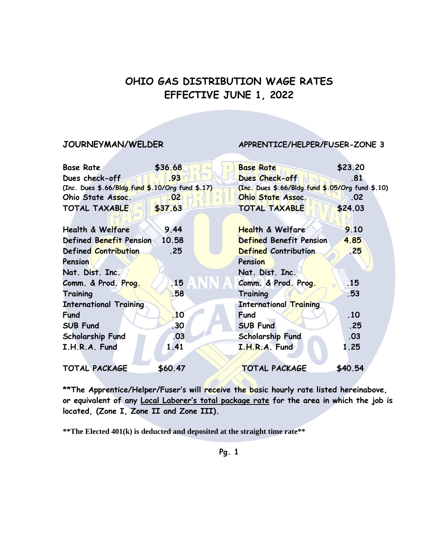# **OHIO GAS DISTRIBUTION WAGE RATES EFFECTIVE JUNE 1, 2022**

### **JOURNEYMAN/WELDER APPRENTICE/HELPER/FUSER-ZONE 3**

| <b>Base Rate</b>                                 | \$36.68          | <b>Base Rate</b>                                 | \$23.20   |
|--------------------------------------------------|------------------|--------------------------------------------------|-----------|
| Dues check-off                                   | .93              | Dues Check-off                                   | .81       |
| (Inc. Dues \$.66/Bldg.fund \$.10/Org fund \$.17) |                  | (Inc. Dues \$.66/Bldg.fund \$.05/Org fund \$.10) |           |
| Ohio State Assoc.                                | .02              | <b>Ohio State Assoc.</b>                         | .02       |
| <b>TOTAL TAXABLE</b>                             | \$37.63          | <b>TOTAL TAXABLE</b>                             | \$24.03   |
| <b>Health &amp; Welfare</b>                      | 9.44             | <b>Health &amp; Welfare</b>                      | 9.10      |
| Defined Benefit Pension                          | 10.58            | Defined Benefit Pension                          | 4.85      |
| Defined Contribution                             | .25              | <b>Defined Contribution</b>                      | <b>25</b> |
| Pension                                          |                  | Pension                                          |           |
| Nat. Dist. Inc.                                  |                  | Nat. Dist. Inc.                                  |           |
| Comm. & Prod. Prog.                              | 15               | Comm. & Prod. Prog.                              | .15       |
| Training                                         | .58              | Training                                         | .53       |
| <b>International Training</b>                    |                  | <b>International Training</b>                    |           |
| <b>Fund</b>                                      | 10               | <b>Fund</b>                                      | .10       |
| <b>SUB Fund</b>                                  | .30 <sub>1</sub> | <b>SUB Fund</b>                                  | .25       |
| <b>Scholarship Fund</b>                          | .03              | <b>Scholarship Fund</b>                          | .03       |
| I.H.R.A. Fund                                    | 1.41             | I.H.R.A. Fund                                    | 1.25      |
| <b>TOTAL PACKAGE</b>                             | \$60.47          | <b>TOTAL PACKAGE</b>                             | \$40.54   |

**\*\*The Apprentice/Helper/Fuser's will receive the basic hourly rate listed hereinabove, or equivalent of any Local Laborer's total package rate for the area in which the job is located, (Zone I, Zone II and Zone III).**

**\*\*The Elected 401(k) is deducted and deposited at the straight time rate\*\***

**Pg. 1**